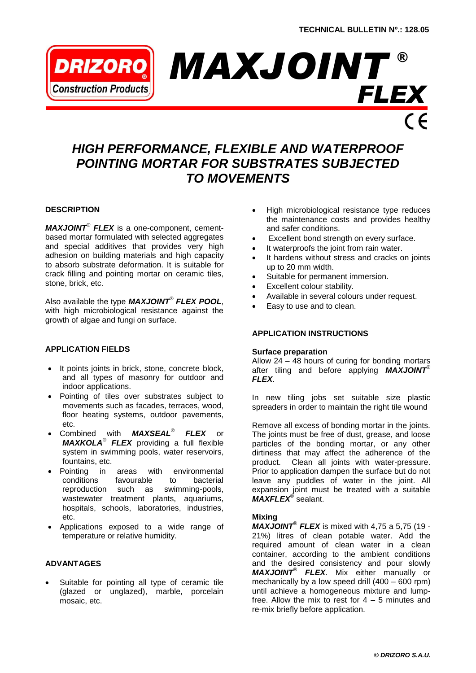

# *HIGH PERFORMANCE, FLEXIBLE AND WATERPROOF POINTING MORTAR FOR SUBSTRATES SUBJECTED TO MOVEMENTS*

# **DESCRIPTION**

*MAXJOINT® FLEX* is a one-component, cementbased mortar formulated with selected aggregates and special additives that provides very high adhesion on building materials and high capacity to absorb substrate deformation. It is suitable for crack filling and pointing mortar on ceramic tiles, stone, brick, etc.

Also available the type *MAXJOINT® FLEX POOL*, with high microbiological resistance against the growth of algae and fungi on surface.

# **APPLICATION FIELDS**

- It points joints in brick, stone, concrete block, and all types of masonry for outdoor and indoor applications.
- Pointing of tiles over substrates subject to movements such as facades, terraces, wood, floor heating systems, outdoor pavements, etc.
- Combined with *MAXSEAL*® *FLEX* or *MAXKOLA*® *FLEX* providing a full flexible system in swimming pools, water reservoirs, fountains, etc.
- Pointing in areas with environmental conditions favourable to bacterial reproduction such as swimming-pools, wastewater treatment plants, aquariums, hospitals, schools, laboratories, industries, etc.
- Applications exposed to a wide range of temperature or relative humidity.

#### **ADVANTAGES**

 Suitable for pointing all type of ceramic tile (glazed or unglazed), marble, porcelain mosaic, etc.

- High microbiological resistance type reduces the maintenance costs and provides healthy and safer conditions.
- Excellent bond strength on every surface.
- It waterproofs the joint from rain water.
- It hardens without stress and cracks on joints up to 20 mm width.
- Suitable for permanent immersion.
- Excellent colour stability.
- Available in several colours under request.
- Easy to use and to clean.

# **APPLICATION INSTRUCTIONS**

#### **Surface preparation**

Allow 24 – 48 hours of curing for bonding mortars after tiling and before applying *MAXJOINT*® *FLEX*.

In new tiling jobs set suitable size plastic spreaders in order to maintain the right tile wound

Remove all excess of bonding mortar in the joints. The joints must be free of dust, grease, and loose particles of the bonding mortar, or any other dirtiness that may affect the adherence of the product. Clean all joints with water-pressure. Prior to application dampen the surface but do not leave any puddles of water in the joint. All expansion joint must be treated with a suitable *MAXFLEX*® sealant.

#### **Mixing**

*MAXJOINT*® *FLEX* is mixed with 4,75 a 5,75 (19 - 21%) litres of clean potable water. Add the required amount of clean water in a clean container, according to the ambient conditions and the desired consistency and pour slowly *MAXJOINT*® *FLEX*. Mix either manually or mechanically by a low speed drill  $(400 - 600$  rpm) until achieve a homogeneous mixture and lumpfree. Allow the mix to rest for  $4 - 5$  minutes and re-mix briefly before application.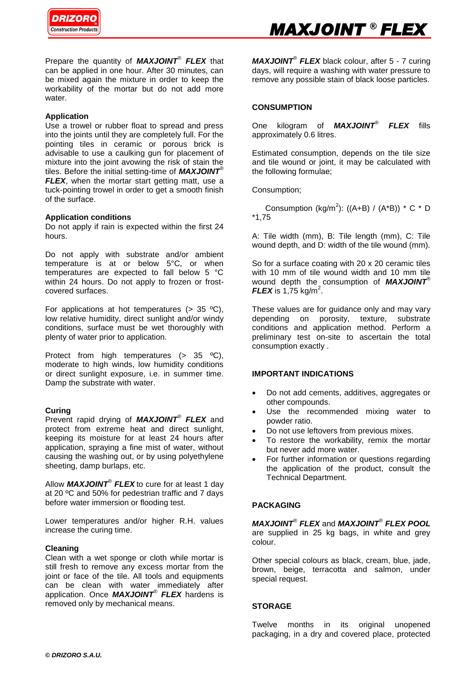

Prepare the quantity of *MAXJOINT*® *FLEX* that can be applied in one hour. After 30 minutes, can be mixed again the mixture in order to keep the workability of the mortar but do not add more water.

# **Application**

Use a trowel or rubber float to spread and press into the joints until they are completely full. For the pointing tiles in ceramic or porous brick is advisable to use a caulking gun for placement of mixture into the joint avowing the risk of stain the tiles. Before the initial setting-time of *MAXJOINT*® *FLEX*, when the mortar start getting matt, use a tuck-pointing trowel in order to get a smooth finish of the surface.

# **Application conditions**

Do not apply if rain is expected within the first 24 hours.

Do not apply with substrate and/or ambient temperature is at or below 5°C, or when temperatures are expected to fall below 5 °C within 24 hours. Do not apply to frozen or frostcovered surfaces.

For applications at hot temperatures  $(> 35 \text{ °C})$ , low relative humidity, direct sunlight and/or windy conditions, surface must be wet thoroughly with plenty of water prior to application.

Protect from high temperatures (> 35 °C), moderate to high winds, low humidity conditions or direct sunlight exposure, i.e. in summer time. Damp the substrate with water.

#### **Curing**

Prevent rapid drying of *MAXJOINT*® *FLEX* and protect from extreme heat and direct sunlight, keeping its moisture for at least 24 hours after application, spraying a fine mist of water, without causing the washing out, or by using polyethylene sheeting, damp burlaps, etc.

Allow *MAXJOINT*® *FLEX* to cure for at least 1 day at 20 ºC and 50% for pedestrian traffic and 7 days before water immersion or flooding test.

Lower temperatures and/or higher R.H. values increase the curing time.

#### **Cleaning**

Clean with a wet sponge or cloth while mortar is still fresh to remove any excess mortar from the joint or face of the tile. All tools and equipments can be clean with water immediately after application. Once *MAXJOINT*® *FLEX* hardens is removed only by mechanical means.

*MAXJOINT*® *FLEX* black colour, after 5 - 7 curing days, will require a washing with water pressure to remove any possible stain of black loose particles.

# **CONSUMPTION**

One kilogram of *MAXJOINT*® *FLEX* fills approximately 0.6 litres.

Estimated consumption, depends on the tile size and tile wound or joint, it may be calculated with the following formulae;

Consumption;

Consumption (kg/m<sup>2</sup>): ((A+B) / (A\*B)) \* C \* D \*1,75

A: Tile width (mm), B: Tile length (mm), C: Tile wound depth, and D: width of the tile wound (mm).

So for a surface coating with 20 x 20 ceramic tiles with 10 mm of tile wound width and 10 mm tile wound depth the consumption of *MAXJOINT*®  $FLEX$  is 1,75 kg/m<sup>2</sup>.

These values are for guidance only and may vary depending on porosity, texture, substrate conditions and application method. Perform a preliminary test on-site to ascertain the total consumption exactly .

#### **IMPORTANT INDICATIONS**

- Do not add cements, additives, aggregates or other compounds.
- Use the recommended mixing water to powder ratio.
- Do not use leftovers from previous mixes.
- To restore the workability, remix the mortar but never add more water.
- For further information or questions regarding the application of the product, consult the Technical Department.

# **PACKAGING**

*MAXJOINT*® *FLEX* and *MAXJOINT*® *FLEX POOL* are supplied in 25 kg bags, in white and grey colour.

Other special colours as black, cream, blue, jade, brown, beige, terracotta and salmon, under special request.

# **STORAGE**

Twelve months in its original unopened packaging, in a dry and covered place, protected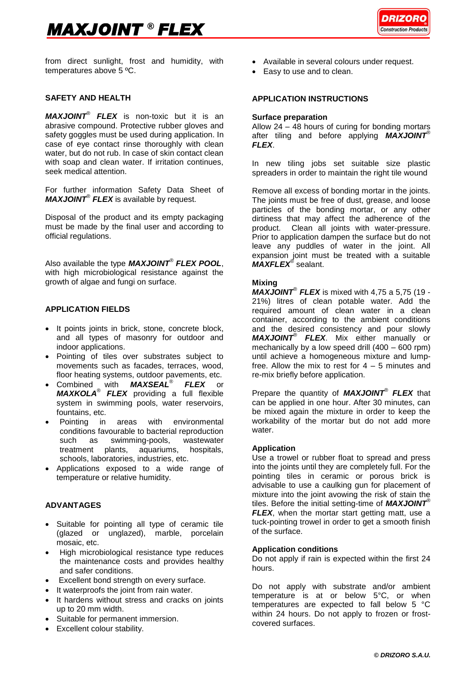# *MAXJOINT*  ® *FLEX*



from direct sunlight, frost and humidity, with temperatures above 5 ºC.

# **SAFETY AND HEALTH**

*MAXJOINT*® *FLEX* is non-toxic but it is an abrasive compound. Protective rubber gloves and safety goggles must be used during application. In case of eye contact rinse thoroughly with clean water, but do not rub. In case of skin contact clean with soap and clean water. If irritation continues, seek medical attention.

For further information Safety Data Sheet of *MAXJOINT*® *FLEX* is available by request.

Disposal of the product and its empty packaging must be made by the final user and according to official regulations.

Also available the type *MAXJOINT® FLEX POOL*, with high microbiological resistance against the growth of algae and fungi on surface.

#### **APPLICATION FIELDS**

- It points joints in brick, stone, concrete block, and all types of masonry for outdoor and indoor applications.
- Pointing of tiles over substrates subject to movements such as facades, terraces, wood, floor heating systems, outdoor pavements, etc.
- Combined with *MAXSEAL*® *FLEX* or *MAXKOLA*® *FLEX* providing a full flexible system in swimming pools, water reservoirs, fountains, etc.
- Pointing in areas with environmental conditions favourable to bacterial reproduction such as swimming-pools, wastewater treatment plants, aquariums, hospitals, schools, laboratories, industries, etc.
- Applications exposed to a wide range of temperature or relative humidity.

# **ADVANTAGES**

- Suitable for pointing all type of ceramic tile (glazed or unglazed), marble, porcelain mosaic, etc.
- High microbiological resistance type reduces the maintenance costs and provides healthy and safer conditions.
- **Excellent bond strength on every surface.**
- It waterproofs the joint from rain water.
- It hardens without stress and cracks on joints up to 20 mm width.
- Suitable for permanent immersion.
- Excellent colour stability.
- Available in several colours under request.
- Easy to use and to clean.

#### **APPLICATION INSTRUCTIONS**

#### **Surface preparation**

Allow  $24 - 48$  hours of curing for bonding mortars after tiling and before applying *MAXJOINT*® *FLEX*.

In new tiling jobs set suitable size plastic spreaders in order to maintain the right tile wound

Remove all excess of bonding mortar in the joints. The joints must be free of dust, grease, and loose particles of the bonding mortar, or any other dirtiness that may affect the adherence of the product. Clean all joints with water-pressure. Prior to application dampen the surface but do not leave any puddles of water in the joint. All expansion joint must be treated with a suitable *MAXFLEX*® sealant.

# **Mixing**

*MAXJOINT*® *FLEX* is mixed with 4,75 a 5,75 (19 - 21%) litres of clean potable water. Add the required amount of clean water in a clean container, according to the ambient conditions and the desired consistency and pour slowly *MAXJOINT*® *FLEX*. Mix either manually or mechanically by a low speed drill (400 – 600 rpm) until achieve a homogeneous mixture and lumpfree. Allow the mix to rest for  $4 - 5$  minutes and re-mix briefly before application.

Prepare the quantity of *MAXJOINT*® *FLEX* that can be applied in one hour. After 30 minutes, can be mixed again the mixture in order to keep the workability of the mortar but do not add more water.

#### **Application**

Use a trowel or rubber float to spread and press into the joints until they are completely full. For the pointing tiles in ceramic or porous brick is advisable to use a caulking gun for placement of mixture into the joint avowing the risk of stain the tiles. Before the initial setting-time of *MAXJOINT*® *FLEX*, when the mortar start getting matt, use a tuck-pointing trowel in order to get a smooth finish of the surface.

#### **Application conditions**

Do not apply if rain is expected within the first 24 hours.

Do not apply with substrate and/or ambient temperature is at or below 5°C, or when temperatures are expected to fall below 5 °C within 24 hours. Do not apply to frozen or frostcovered surfaces.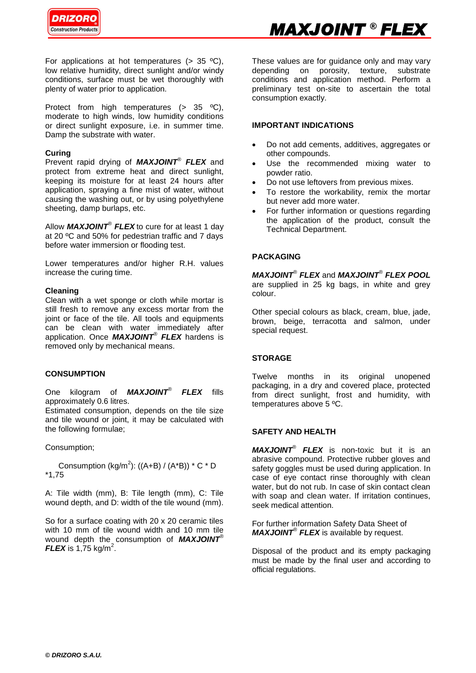

For applications at hot temperatures  $(> 35 \text{ °C})$ , low relative humidity, direct sunlight and/or windy conditions, surface must be wet thoroughly with plenty of water prior to application.

Protect from high temperatures (> 35 ºC), moderate to high winds, low humidity conditions or direct sunlight exposure, i.e. in summer time. Damp the substrate with water.

# **Curing**

Prevent rapid drying of *MAXJOINT*® *FLEX* and protect from extreme heat and direct sunlight, keeping its moisture for at least 24 hours after application, spraying a fine mist of water, without causing the washing out, or by using polyethylene sheeting, damp burlaps, etc.

Allow *MAXJOINT*® *FLEX* to cure for at least 1 day at 20 ºC and 50% for pedestrian traffic and 7 days before water immersion or flooding test.

Lower temperatures and/or higher R.H. values increase the curing time.

# **Cleaning**

Clean with a wet sponge or cloth while mortar is still fresh to remove any excess mortar from the joint or face of the tile. All tools and equipments can be clean with water immediately after application. Once *MAXJOINT*® *FLEX* hardens is removed only by mechanical means.

# **CONSUMPTION**

One kilogram of *MAXJOINT*® *FLEX* fills approximately 0.6 litres.

Estimated consumption, depends on the tile size and tile wound or joint, it may be calculated with the following formulae;

Consumption;

Consumption (kg/m<sup>2</sup>): ((A+B) / (A\*B)) \* C \* D \*1,75

A: Tile width (mm), B: Tile length (mm), C: Tile wound depth, and D: width of the tile wound (mm).

So for a surface coating with 20 x 20 ceramic tiles with 10 mm of tile wound width and 10 mm tile wound depth the consumption of *MAXJOINT*®  $FLEX$  is 1,75 kg/m<sup>2</sup>.

These values are for guidance only and may vary depending on porosity, texture, substrate conditions and application method. Perform a preliminary test on-site to ascertain the total consumption exactly.

# **IMPORTANT INDICATIONS**

- Do not add cements, additives, aggregates or other compounds.
- Use the recommended mixing water to powder ratio.
- Do not use leftovers from previous mixes.
- To restore the workability, remix the mortar but never add more water.
- For further information or questions regarding the application of the product, consult the Technical Department.

# **PACKAGING**

*MAXJOINT*® *FLEX* and *MAXJOINT*® *FLEX POOL* are supplied in 25 kg bags, in white and grey colour.

Other special colours as black, cream, blue, jade, brown, beige, terracotta and salmon, under special request.

# **STORAGE**

Twelve months in its original unopened packaging, in a dry and covered place, protected from direct sunlight, frost and humidity, with temperatures above 5 ºC.

# **SAFETY AND HEALTH**

*MAXJOINT*® *FLEX* is non-toxic but it is an abrasive compound. Protective rubber gloves and safety goggles must be used during application. In case of eye contact rinse thoroughly with clean water, but do not rub. In case of skin contact clean with soap and clean water. If irritation continues, seek medical attention.

For further information Safety Data Sheet of *MAXJOINT*® *FLEX* is available by request.

Disposal of the product and its empty packaging must be made by the final user and according to official regulations.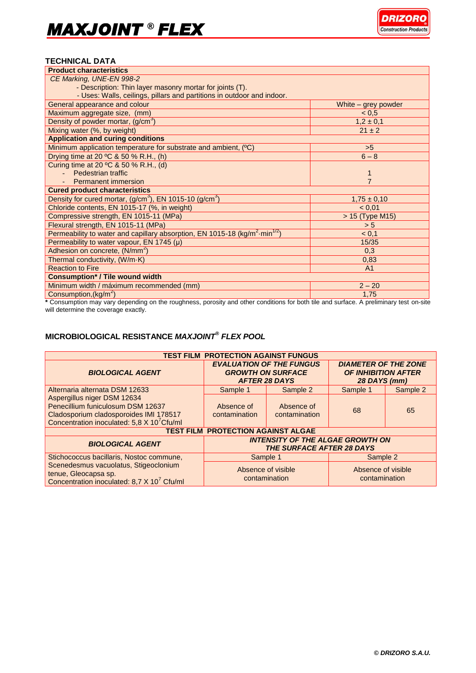# **TECHNICAL DATA**

| <b>Product characteristics</b>                                                                      |                     |  |  |  |
|-----------------------------------------------------------------------------------------------------|---------------------|--|--|--|
| CE Marking, UNE-EN 998-2                                                                            |                     |  |  |  |
| - Description: Thin layer masonry mortar for joints (T).                                            |                     |  |  |  |
| - Uses: Walls, ceilings, pillars and partitions in outdoor and indoor.                              |                     |  |  |  |
| General appearance and colour                                                                       | White – grey powder |  |  |  |
| Maximum aggregate size, (mm)                                                                        | < 0, 5              |  |  |  |
| Density of powder mortar, $(g/cm3)$                                                                 | $1,2 \pm 0,1$       |  |  |  |
| Mixing water (%, by weight)                                                                         | $21 \pm 2$          |  |  |  |
| <b>Application and curing conditions</b>                                                            |                     |  |  |  |
| Minimum application temperature for substrate and ambient, (°C)                                     | >5                  |  |  |  |
| Drying time at 20 °C & 50 % R.H., (h)                                                               | $6 - 8$             |  |  |  |
| Curing time at 20 °C & 50 % R.H., (d)                                                               |                     |  |  |  |
| Pedestrian traffic                                                                                  |                     |  |  |  |
| <b>Permanent immersion</b>                                                                          | $\overline{7}$      |  |  |  |
| <b>Cured product characteristics</b>                                                                |                     |  |  |  |
| Density for cured mortar, (g/cm <sup>3</sup> ), EN 1015-10 (g/cm <sup>3</sup> )                     | $1,75 \pm 0,10$     |  |  |  |
| Chloride contents, EN 1015-17 (%, in weight)                                                        | < 0,01              |  |  |  |
| Compressive strength, EN 1015-11 (MPa)                                                              | > 15 (Type M15)     |  |  |  |
| Flexural strength, EN 1015-11 (MPa)                                                                 | > 5                 |  |  |  |
| Permeability to water and capillary absorption, EN 1015-18 (kg/m <sup>2</sup> ·min <sup>1/2</sup> ) | < 0,1               |  |  |  |
| Permeability to water vapour, EN 1745 (µ)                                                           | 15/35               |  |  |  |
| Adhesion on concrete, (N/mm <sup>2</sup> )                                                          | 0,3                 |  |  |  |
| Thermal conductivity, (W/m·K)                                                                       | 0,83                |  |  |  |
| <b>Reaction to Fire</b>                                                                             | A <sub>1</sub>      |  |  |  |
| <b>Consumption* / Tile wound width</b>                                                              |                     |  |  |  |
| Minimum width / máximum recommended (mm)                                                            | $2 - 20$            |  |  |  |
| Consumption, $(kg/m^2)$                                                                             | 1,75                |  |  |  |

**\*** Consumption may vary depending on the roughness, porosity and other conditions for both tile and surface. A preliminary test on-site will determine the coverage exactly.

# **MICROBIOLOGICAL RESISTANCE** *MAXJOINT® FLEX POOL*

| <b>TEST FILM PROTECTION AGAINST FUNGUS</b>                                                                                                                           |                                                                                     |                             |                                                                           |          |  |
|----------------------------------------------------------------------------------------------------------------------------------------------------------------------|-------------------------------------------------------------------------------------|-----------------------------|---------------------------------------------------------------------------|----------|--|
| <b>BIOLOGICAL AGENT</b>                                                                                                                                              | <b>EVALUATION OF THE FUNGUS</b><br><b>GROWTH ON SURFACE</b><br><b>AFTER 28 DAYS</b> |                             | <b>DIAMETER OF THE ZONE</b><br><b>OF INHIBITION AFTER</b><br>28 DAYS (mm) |          |  |
| Alternaria alternata DSM 12633                                                                                                                                       | Sample 1                                                                            | Sample 2                    | Sample 1                                                                  | Sample 2 |  |
| Aspergillus niger DSM 12634<br>Penecillium funiculosum DSM 12637<br>Cladosporium cladosporoides IMI 178517<br>Concentration inoculated: 5,8 X 10 <sup>7</sup> Cfu/ml | Absence of<br>contamination                                                         | Absence of<br>contamination | 68                                                                        | 65       |  |
| <b>TEST FILM PROTECTION AGAINST ALGAE</b>                                                                                                                            |                                                                                     |                             |                                                                           |          |  |
| <b>BIOLOGICAL AGENT</b>                                                                                                                                              | <b>INTENSITY OF THE ALGAE GROWTH ON</b><br><b>THE SURFACE AFTER 28 DAYS</b>         |                             |                                                                           |          |  |
| Stichococcus bacillaris, Nostoc commune,                                                                                                                             | Sample 1                                                                            |                             | Sample 2                                                                  |          |  |
| Scenedesmus vacuolatus, Stigeoclonium<br>tenue, Gleocapsa sp.<br>Concentration inoculated: 8,7 X 10 <sup>7</sup> Cfu/ml                                              | Absence of visible<br>contamination                                                 |                             | Absence of visible<br>contamination                                       |          |  |